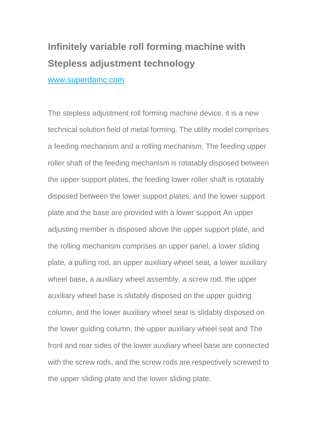## **Infinitely variable roll forming machine with Stepless adjustment technology**

www.superdamc.com

The stepless adjustment roll forming machine device, it is a new technical solution field of metal forming. The utility model comprises a feeding mechanism and a rolling mechanism. The feeding upper roller shaft of the feeding mechanism is rotatably disposed between the upper support plates, the feeding lower roller shaft is rotatably disposed between the lower support plates, and the lower support plate and the base are provided with a lower support An upper adjusting member is disposed above the upper support plate, and the rolling mechanism comprises an upper panel, a lower sliding plate, a pulling rod, an upper auxiliary wheel seat, a lower auxiliary wheel base, a auxiliary wheel assembly, a screw rod, the upper auxiliary wheel base is slidably disposed on the upper guiding column, and the lower auxiliary wheel seat is slidably disposed on the lower guiding column, the upper auxiliary wheel seat and The front and rear sides of the lower auxiliary wheel base are connected with the screw rods, and the screw rods are respectively screwed to the upper sliding plate and the lower sliding plate.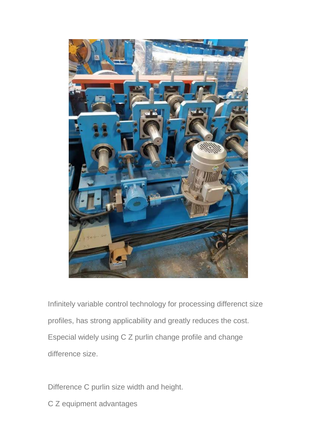

Infinitely variable control technology for processing differenct size profiles, has strong applicability and greatly reduces the cost. Especial widely using C Z purlin change profile and change difference size.

Difference C purlin size width and height.

C Z equipment advantages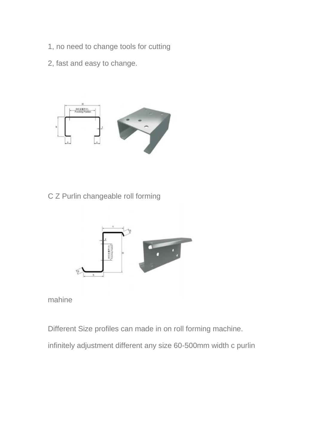- 1, no need to change tools for cutting
- 2, fast and easy to change.



C Z Purlin changeable roll forming



mahine

Different Size profiles can made in on roll forming machine.

infinitely adjustment different any size 60-500mm width c purlin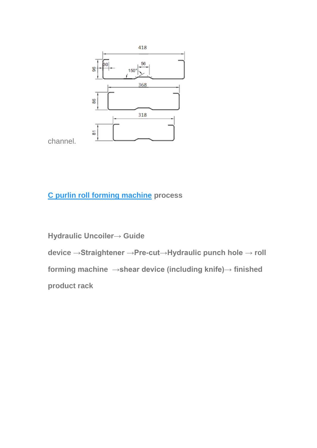

channel.

## **[C purlin roll forming machine](http://www.superdamachine.com/) process**

**Hydraulic Uncoiler→ Guide device →Straightener →Pre-cut→Hydraulic punch hole → roll forming machine →shear device (including knife)→ finished product rack**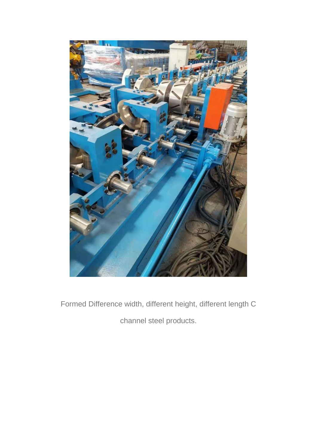

Formed Difference width, different height, different length C channel steel products.